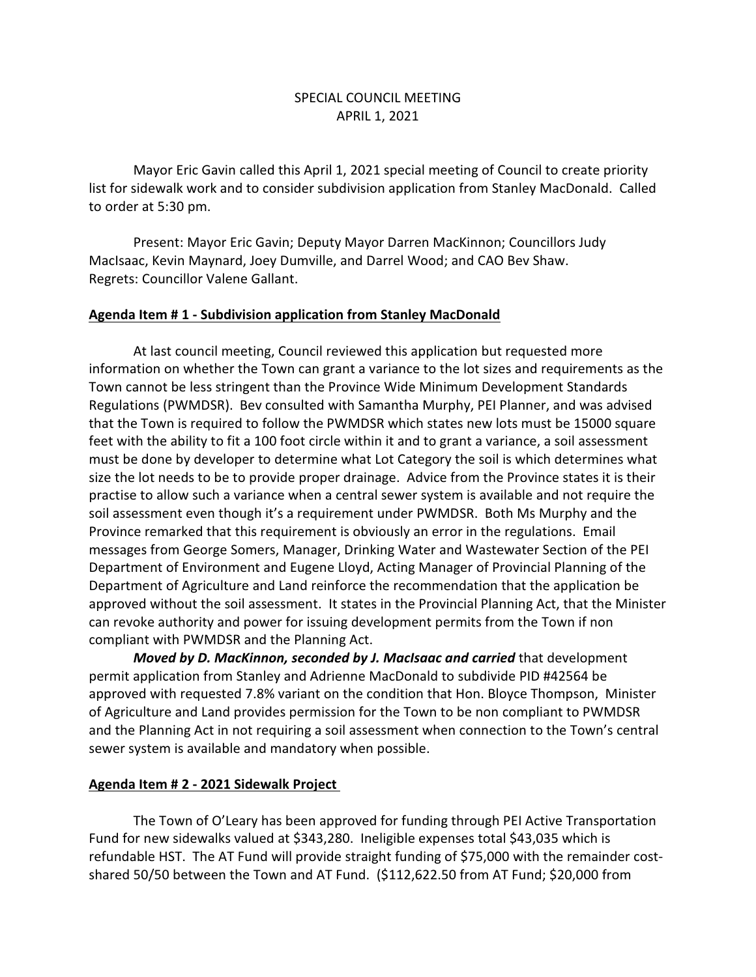## SPECIAL COUNCIL MEETING APRIL 1, 2021

Mayor Eric Gavin called this April 1, 2021 special meeting of Council to create priority list for sidewalk work and to consider subdivision application from Stanley MacDonald. Called to order at 5:30 pm.

Present: Mayor Eric Gavin; Deputy Mayor Darren MacKinnon; Councillors Judy MacIsaac, Kevin Maynard, Joey Dumville, and Darrel Wood; and CAO Bev Shaw. Regrets: Councillor Valene Gallant.

## **Agenda Item # 1 - Subdivision application from Stanley MacDonald**

At last council meeting, Council reviewed this application but requested more information on whether the Town can grant a variance to the lot sizes and requirements as the Town cannot be less stringent than the Province Wide Minimum Development Standards Regulations (PWMDSR). Bev consulted with Samantha Murphy, PEI Planner, and was advised that the Town is required to follow the PWMDSR which states new lots must be 15000 square feet with the ability to fit a 100 foot circle within it and to grant a variance, a soil assessment must be done by developer to determine what Lot Category the soil is which determines what size the lot needs to be to provide proper drainage. Advice from the Province states it is their practise to allow such a variance when a central sewer system is available and not require the soil assessment even though it's a requirement under PWMDSR. Both Ms Murphy and the Province remarked that this requirement is obviously an error in the regulations. Email messages from George Somers, Manager, Drinking Water and Wastewater Section of the PEI Department of Environment and Eugene Lloyd, Acting Manager of Provincial Planning of the Department of Agriculture and Land reinforce the recommendation that the application be approved without the soil assessment. It states in the Provincial Planning Act, that the Minister can revoke authority and power for issuing development permits from the Town if non compliant with PWMDSR and the Planning Act.

*Moved by D. MacKinnon, seconded by J. MacIsaac and carried* that development permit application from Stanley and Adrienne MacDonald to subdivide PID #42564 be approved with requested 7.8% variant on the condition that Hon. Bloyce Thompson, Minister of Agriculture and Land provides permission for the Town to be non compliant to PWMDSR and the Planning Act in not requiring a soil assessment when connection to the Town's central sewer system is available and mandatory when possible.

## **Agenda Item # 2 - 2021 Sidewalk Project**

The Town of O'Leary has been approved for funding through PEI Active Transportation Fund for new sidewalks valued at \$343,280. Ineligible expenses total \$43,035 which is refundable HST. The AT Fund will provide straight funding of \$75,000 with the remainder costshared 50/50 between the Town and AT Fund. (\$112,622.50 from AT Fund; \$20,000 from